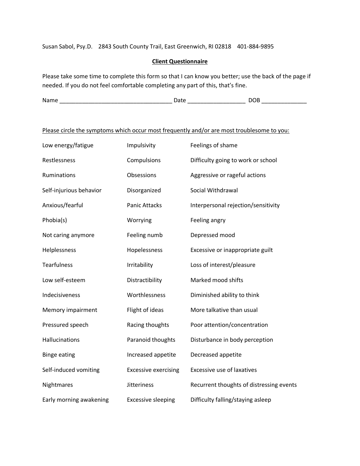Susan Sabol, Psy.D. 2843 South County Trail, East Greenwich, RI 02818 401-884-9895

## **Client Questionnaire**

Please take some time to complete this form so that I can know you better; use the back of the page if needed. If you do not feel comfortable completing any part of this, that's fine.

| Nam<br>. .<br>---<br>______ |
|-----------------------------|
|-----------------------------|

# Please circle the symptoms which occur most frequently and/or are most troublesome to you:

| Low energy/fatigue      | Impulsivity                 | Feelings of shame                        |
|-------------------------|-----------------------------|------------------------------------------|
| Restlessness            | Compulsions                 | Difficulty going to work or school       |
| Ruminations             | Obsessions                  | Aggressive or rageful actions            |
| Self-injurious behavior | Disorganized                | Social Withdrawal                        |
| Anxious/fearful         | <b>Panic Attacks</b>        | Interpersonal rejection/sensitivity      |
| Phobia(s)               | Worrying                    | Feeling angry                            |
| Not caring anymore      | Feeling numb                | Depressed mood                           |
| Helplessness            | Hopelessness                | Excessive or inappropriate guilt         |
| <b>Tearfulness</b>      | Irritability                | Loss of interest/pleasure                |
| Low self-esteem         | Distractibility             | Marked mood shifts                       |
| Indecisiveness          | Worthlessness               | Diminished ability to think              |
| Memory impairment       | Flight of ideas             | More talkative than usual                |
| Pressured speech        | Racing thoughts             | Poor attention/concentration             |
| Hallucinations          | Paranoid thoughts           | Disturbance in body perception           |
| <b>Binge eating</b>     | Increased appetite          | Decreased appetite                       |
| Self-induced vomiting   | <b>Excessive exercising</b> | <b>Excessive use of laxatives</b>        |
| Nightmares              | <b>Jitteriness</b>          | Recurrent thoughts of distressing events |
| Early morning awakening | <b>Excessive sleeping</b>   | Difficulty falling/staying asleep        |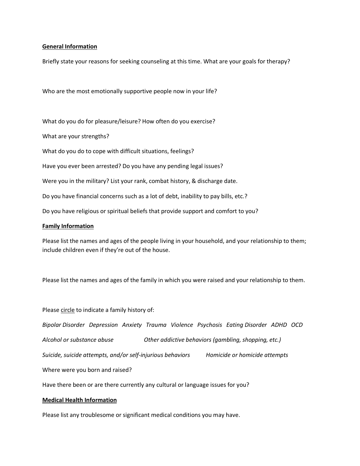#### **General Information**

Briefly state your reasons for seeking counseling at this time. What are your goals for therapy?

Who are the most emotionally supportive people now in your life?

What do you do for pleasure/leisure? How often do you exercise?

What are your strengths?

What do you do to cope with difficult situations, feelings?

Have you ever been arrested? Do you have any pending legal issues?

Were you in the military? List your rank, combat history, & discharge date.

Do you have financial concerns such as a lot of debt, inability to pay bills, etc.?

Do you have religious or spiritual beliefs that provide support and comfort to you?

#### **Family Information**

Please list the names and ages of the people living in your household, and your relationship to them; include children even if they're out of the house.

Please list the names and ages of the family in which you were raised and your relationship to them.

Please circle to indicate a family history of:

*Bipolar Disorder Depression Anxiety Trauma Violence Psychosis Eating Disorder ADHD OCD Alcohol or substance abuse Other addictive behaviors (gambling, shopping, etc.) Suicide, suicide attempts, and/or self-injurious behaviors Homicide or homicide attempts*

Where were you born and raised?

Have there been or are there currently any cultural or language issues for you?

#### **Medical Health Information**

Please list any troublesome or significant medical conditions you may have.